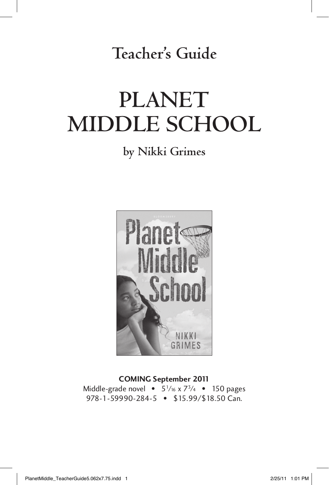**Teacher's Guide**

# **Planet Middle School**

## **by Nikki Grimes**



**COMING September 2011**<br>Middle-grade novel • 5<sup>1</sup>/<sub>16</sub> x 7<sup>3</sup>/4 • 150 pages Middle-grade novel • 51⁄16 x 73⁄4 • 150 pages  $970 - 199990 - 2019$  • \$15.99/\$10.50 Can.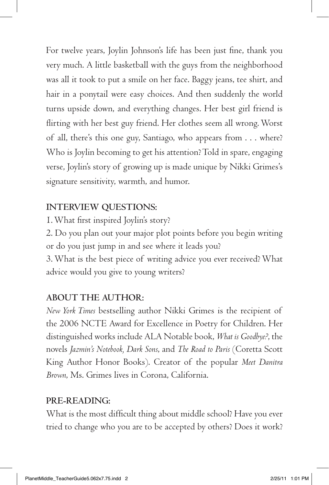For twelve years, Joylin Johnson's life has been just fine, thank you very much. A little basketball with the guys from the neighborhood was all it took to put a smile on her face. Baggy jeans, tee shirt, and hair in a ponytail were easy choices. And then suddenly the world turns upside down, and everything changes. Her best girl friend is flirting with her best guy friend. Her clothes seem all wrong. Worst of all, there's this one guy, Santiago, who appears from . . . where? Who is Joylin becoming to get his attention? Told in spare, engaging verse, Joylin's story of growing up is made unique by Nikki Grimes's signature sensitivity, warmth, and humor.

## **Interview questions:**

1. What first inspired Joylin's story?

2. Do you plan out your major plot points before you begin writing or do you just jump in and see where it leads you?

3. What is the best piece of writing advice you ever received? What advice would you give to young writers?

### **ABOUT THE AUTHOR:**

*New York Times* bestselling author Nikki Grimes is the recipient of the 2006 NCTE Award for Excellence in Poetry for Children. Her distinguished works include ALA Notable book, *What is Goodbye?*, the novels *Jazmin's Notebook, Dark Sons*, and *The Road to Paris* (Coretta Scott King Author Honor Books). Creator of the popular *Meet Danitra Brown*, Ms. Grimes lives in Corona, California.

### **Pre-reading:**

What is the most difficult thing about middle school? Have you ever tried to change who you are to be accepted by others? Does it work?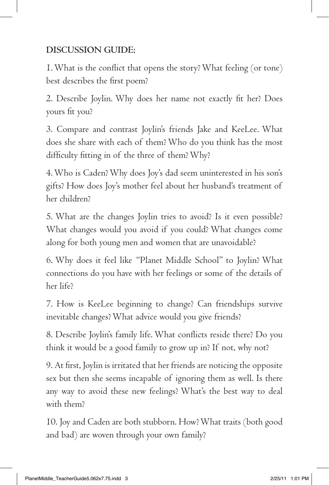## **Discussion guide:**

1. What is the conflict that opens the story? What feeling (or tone) best describes the first poem?

2. Describe Joylin. Why does her name not exactly fit her? Does yours fit you?

3. Compare and contrast Joylin's friends Jake and KeeLee. What does she share with each of them? Who do you think has the most difficulty fitting in of the three of them? Why?

4. Who is Caden? Why does Joy's dad seem uninterested in his son's gifts? How does Joy's mother feel about her husband's treatment of her children?

5. What are the changes Joylin tries to avoid? Is it even possible? What changes would you avoid if you could? What changes come along for both young men and women that are unavoidable?

6. Why does it feel like "Planet Middle School" to Joylin? What connections do you have with her feelings or some of the details of her life?

7. How is KeeLee beginning to change? Can friendships survive inevitable changes? What advice would you give friends?

8. Describe Joylin's family life. What conflicts reside there? Do you think it would be a good family to grow up in? If not, why not?

9. At first, Joylin is irritated that her friends are noticing the opposite sex but then she seems incapable of ignoring them as well. Is there any way to avoid these new feelings? What's the best way to deal with them?

10. Joy and Caden are both stubborn. How? What traits (both good and bad) are woven through your own family?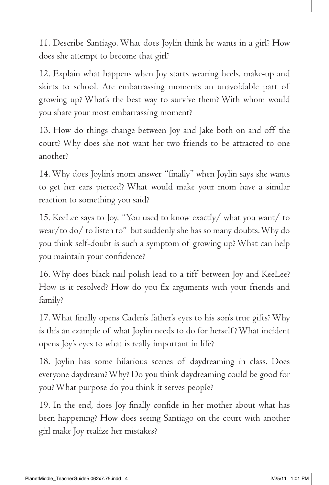11. Describe Santiago. What does Joylin think he wants in a girl? How does she attempt to become that girl?

12. Explain what happens when Joy starts wearing heels, make-up and skirts to school. Are embarrassing moments an unavoidable part of growing up? What's the best way to survive them? With whom would you share your most embarrassing moment?

13. How do things change between Joy and Jake both on and off the court? Why does she not want her two friends to be attracted to one another?

14. Why does Joylin's mom answer "finally" when Joylin says she wants to get her ears pierced? What would make your mom have a similar reaction to something you said?

15. KeeLee says to Joy, "You used to know exactly/ what you want/ to wear/to do/ to listen to" but suddenly she has so many doubts. Why do you think self-doubt is such a symptom of growing up? What can help you maintain your confidence?

16. Why does black nail polish lead to a tiff between Joy and KeeLee? How is it resolved? How do you fix arguments with your friends and family?

17. What finally opens Caden's father's eyes to his son's true gifts? Why is this an example of what Joylin needs to do for herself ? What incident opens Joy's eyes to what is really important in life?

18. Joylin has some hilarious scenes of daydreaming in class. Does everyone daydream? Why? Do you think daydreaming could be good for you? What purpose do you think it serves people?

19. In the end, does Joy finally confide in her mother about what has been happening? How does seeing Santiago on the court with another girl make Joy realize her mistakes?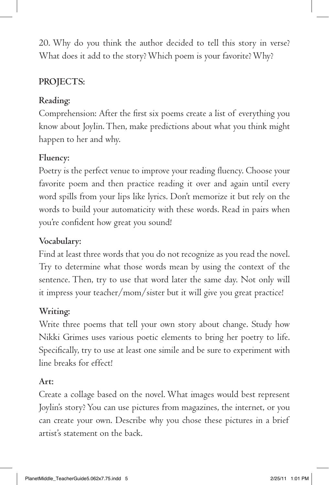20. Why do you think the author decided to tell this story in verse? What does it add to the story? Which poem is your favorite? Why?

## PROJECTS:

## **Reading:**

Comprehension: After the first six poems create a list of everything you know about Joylin. Then, make predictions about what you think might happen to her and why.

## **Fluency:**

Poetry is the perfect venue to improve your reading fluency. Choose your favorite poem and then practice reading it over and again until every word spills from your lips like lyrics. Don't memorize it but rely on the words to build your automaticity with these words. Read in pairs when you're confident how great you sound!

## **Vocabulary:**

Find at least three words that you do not recognize as you read the novel. Try to determine what those words mean by using the context of the sentence. Then, try to use that word later the same day. Not only will it impress your teacher/mom/sister but it will give you great practice!

## **Writing:**

Write three poems that tell your own story about change. Study how Nikki Grimes uses various poetic elements to bring her poetry to life. Specifically, try to use at least one simile and be sure to experiment with line breaks for effect!

## **Art:**

Create a collage based on the novel. What images would best represent Joylin's story? You can use pictures from magazines, the internet, or you can create your own. Describe why you chose these pictures in a brief artist's statement on the back.